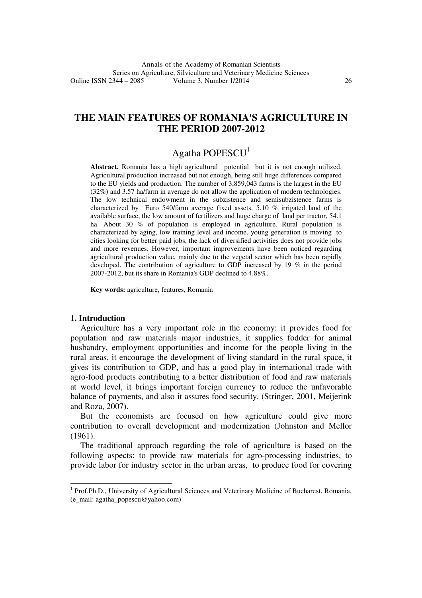## **THE MAIN FEATURES OF ROMANIA'S AGRICULTURE IN THE PERIOD 2007-2012**

# Agatha POPESCU<sup>1</sup>

**Abstract.** Romania has a high agricultural potential but it is not enough utilized. Agricultural production increased but not enough, being still huge differences compared to the EU yields and production. The number of 3,859,043 farms is the largest in the EU (32%) and 3.57 ha/farm in average do not allow the application of modern technologies. The low technical endowment in the subzistence and semisubzistence farms is characterized by Euro 540/farm average fixed assets, 5.10 % irrigated land of the available surface, the low amount of fertilizers and huge charge of land per tractor, 54.1 ha. About 30 % of population is employed in agriculture. Rural population is characterized by aging, low training level and income, young generation is moving to cities looking for better paid jobs, the lack of diversified activities does not provide jobs and more revenues. However, important improvements have been noticed regarding agricultural production value, mainly due to the vegetal sector which has been rapidly developed. The contribution of agriculture to GDP increased by 19 % in the period 2007-2012, but its share in Romania's GDP declined to 4.88%.

**Key words:** agriculture, features, Romania

#### **1. Introduction**

l

Agriculture has a very important role in the economy: it provides food for population and raw materials major industries, it supplies fodder for animal husbandry, employment opportunities and income for the people living in the rural areas, it encourage the development of living standard in the rural space, it gives its contribution to GDP, and has a good play in international trade with agro-food products contributing to a better distribution of food and raw materials at world level, it brings important foreign currency to reduce the unfavorable balance of payments, and also it assures food security. (Stringer, 2001, Meijerink and Roza, 2007).

 But the economists are focused on how agriculture could give more contribution to overall development and modernization (Johnston and Mellor (1961).

 The traditional approach regarding the role of agriculture is based on the following aspects: to provide raw materials for agro-processing industries, to provide labor for industry sector in the urban areas, to produce food for covering

<sup>&</sup>lt;sup>1</sup> Prof.Ph.D., University of Agricultural Sciences and Veterinary Medicine of Bucharest, Romania, (e\_mail: agatha\_popescu@yahoo.com)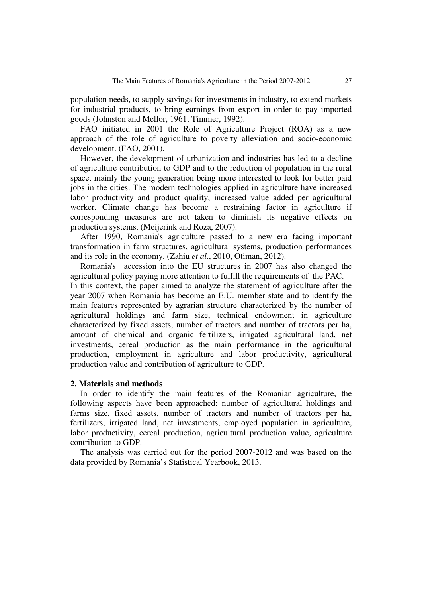population needs, to supply savings for investments in industry, to extend markets for industrial products, to bring earnings from export in order to pay imported goods (Johnston and Mellor, 1961; Timmer, 1992).

 FAO initiated in 2001 the Role of Agriculture Project (ROA) as a new approach of the role of agriculture to poverty alleviation and socio-economic development. (FAO, 2001).

 However, the development of urbanization and industries has led to a decline of agriculture contribution to GDP and to the reduction of population in the rural space, mainly the young generation being more interested to look for better paid jobs in the cities. The modern technologies applied in agriculture have increased labor productivity and product quality, increased value added per agricultural worker. Climate change has become a restraining factor in agriculture if corresponding measures are not taken to diminish its negative effects on production systems. (Meijerink and Roza, 2007).

 After 1990, Romania's agriculture passed to a new era facing important transformation in farm structures, agricultural systems, production performances and its role in the economy. (Zahiu *et al*., 2010, Otiman, 2012).

 Romania's accession into the EU structures in 2007 has also changed the agricultural policy paying more attention to fulfill the requirements of the PAC. In this context, the paper aimed to analyze the statement of agriculture after the year 2007 when Romania has become an E.U. member state and to identify the main features represented by agrarian structure characterized by the number of agricultural holdings and farm size, technical endowment in agriculture characterized by fixed assets, number of tractors and number of tractors per ha, amount of chemical and organic fertilizers, irrigated agricultural land, net investments, cereal production as the main performance in the agricultural production, employment in agriculture and labor productivity, agricultural production value and contribution of agriculture to GDP.

### **2. Materials and methods**

 In order to identify the main features of the Romanian agriculture, the following aspects have been approached: number of agricultural holdings and farms size, fixed assets, number of tractors and number of tractors per ha, fertilizers, irrigated land, net investments, employed population in agriculture, labor productivity, cereal production, agricultural production value, agriculture contribution to GDP.

 The analysis was carried out for the period 2007-2012 and was based on the data provided by Romania's Statistical Yearbook, 2013.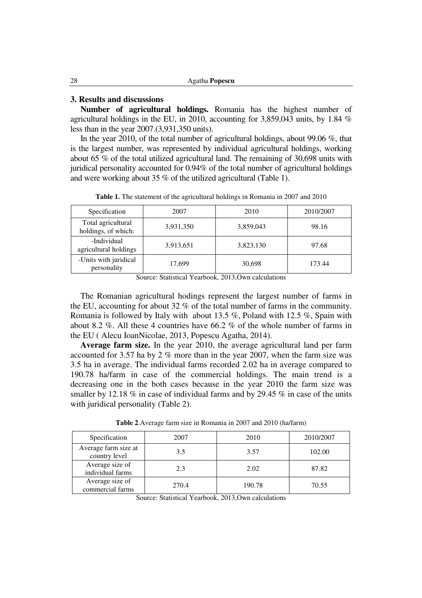### **3. Results and discussions**

 **Number of agricultural holdings.** Romania has the highest number of agricultural holdings in the EU, in 2010, accounting for 3,859,043 units, by 1.84 % less than in the year 2007.(3,931,350 units).

 In the year 2010, of the total number of agricultural holdings, about 99.06 %, that is the largest number, was represented by individual agricultural holdings, working about 65 % of the total utilized agricultural land. The remaining of 30,698 units with juridical personality accounted for 0.94% of the total number of agricultural holdings and were working about 35 % of the utilized agricultural (Table 1).

| Specification                             | 2007      | 2010      | 2010/2007 |
|-------------------------------------------|-----------|-----------|-----------|
| Total agricultural<br>holdings, of which: | 3,931,350 | 3,859,043 | 98.16     |
| -Individual<br>agricultural holdings      | 3,913,651 | 3,823,130 | 97.68     |
| -Units with juridical<br>personality      | 17,699    | 30,698    | 173.44    |

**Table 1.** The statement of the agricultural holdings in Romania in 2007 and 2010

Source: Statistical Yearbook, 2013,Own calculations

 The Romanian agricultural hodings represent the largest number of farms in the EU, accounting for about 32 % of the total number of farms in the community. Romania is followed by Italy with about 13.5 %, Poland with 12.5 %, Spain with about 8.2 %. All these 4 countries have 66.2 % of the whole number of farms in the EU ( Alecu IoanNicolae, 2013, Popescu Agatha, 2014).

 **Average farm size.** In the year 2010, the average agricultural land per farm accounted for 3.57 ha by 2 % more than in the year 2007, when the farm size was 3.5 ha in average. The individual farms recorded 2.02 ha in average compared to 190.78 ha/farm in case of the commercial holdings. The main trend is a decreasing one in the both cases because in the year 2010 the farm size was smaller by 12.18 % in case of individual farms and by 29.45 % in case of the units with juridical personality (Table 2).

| Specification                         | 2007  | 2010   | 2010/2007 |
|---------------------------------------|-------|--------|-----------|
| Average farm size at<br>country level | 3.5   | 3.57   | 102.00    |
| Average size of<br>individual farms   | 2.3   | 2.02   | 87.82     |
| Average size of<br>commercial farms   | 270.4 | 190.78 | 70.55     |

**Table 2**.Average farm size in Romania in 2007 and 2010 (ha/farm)

Source: Statistical Yearbook, 2013,Own calculations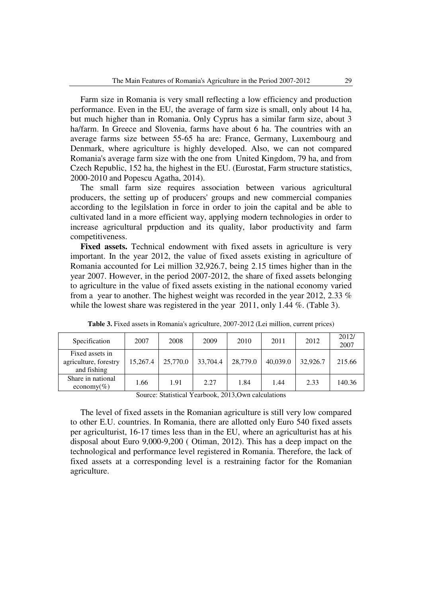Farm size in Romania is very small reflecting a low efficiency and production performance. Even in the EU, the average of farm size is small, only about 14 ha, but much higher than in Romania. Only Cyprus has a similar farm size, about 3 ha/farm. In Greece and Slovenia, farms have about 6 ha. The countries with an average farms size between 55-65 ha are: France, Germany, Luxembourg and Denmark, where agriculture is highly developed. Also, we can not compared Romania's average farm size with the one from United Kingdom, 79 ha, and from Czech Republic, 152 ha, the highest in the EU. (Eurostat, Farm structure statistics, 2000-2010 and Popescu Agatha, 2014).

 The small farm size requires association between various agricultural producers, the setting up of producers' groups and new commercial companies according to the legilslation in force in order to join the capital and be able to cultivated land in a more efficient way, applying modern technologies in order to increase agricultural prpduction and its quality, labor productivity and farm competitiveness.

 **Fixed assets.** Technical endowment with fixed assets in agriculture is very important. In the year 2012, the value of fixed assets existing in agriculture of Romania accounted for Lei million 32,926.7, being 2.15 times higher than in the year 2007. However, in the period 2007-2012, the share of fixed assets belonging to agriculture in the value of fixed assets existing in the national economy varied from a year to another. The highest weight was recorded in the year 2012, 2.33 % while the lowest share was registered in the year 2011, only 1.44 %. (Table 3).

| Specification                                           | 2007     | 2008     | 2009     | 2010     | 2011     | 2012     | 2012/<br>2007 |
|---------------------------------------------------------|----------|----------|----------|----------|----------|----------|---------------|
| Fixed assets in<br>agriculture, forestry<br>and fishing | 15,267.4 | 25,770.0 | 33,704.4 | 28,779.0 | 40,039.0 | 32,926.7 | 215.66        |
| Share in national<br>economy(%)                         | 1.66     | 1.91     | 2.27     | 1.84     | 1.44     | 2.33     | 140.36        |

**Table 3.** Fixed assets in Romania's agriculture, 2007-2012 (Lei million, current prices)

Source: Statistical Yearbook, 2013,Own calculations

 The level of fixed assets in the Romanian agriculture is still very low compared to other E.U. countries. In Romania, there are allotted only Euro 540 fixed assets per agriculturist, 16-17 times less than in the EU, where an agriculturist has at his disposal about Euro 9,000-9,200 ( Otiman, 2012). This has a deep impact on the technological and performance level registered in Romania. Therefore, the lack of fixed assets at a corresponding level is a restraining factor for the Romanian agriculture.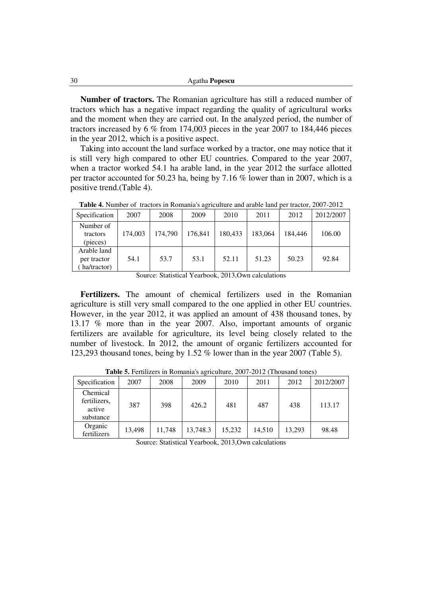| Agatha <b>Popescu</b> |
|-----------------------|
|                       |

 **Number of tractors.** The Romanian agriculture has still a reduced number of tractors which has a negative impact regarding the quality of agricultural works and the moment when they are carried out. In the analyzed period, the number of tractors increased by 6 % from 174,003 pieces in the year 2007 to 184,446 pieces in the year 2012, which is a positive aspect.

 Taking into account the land surface worked by a tractor, one may notice that it is still very high compared to other EU countries. Compared to the year 2007, when a tractor worked 54.1 ha arable land, in the year 2012 the surface allotted per tractor accounted for 50.23 ha, being by 7.16 % lower than in 2007, which is a positive trend.(Table 4).

| Specification                             | 2007    | 2008    | 2009    | 2010    | 2011    | 2012    | 2012/2007 |
|-------------------------------------------|---------|---------|---------|---------|---------|---------|-----------|
| Number of<br>tractors<br>(pieces)         | 174,003 | 174,790 | 176,841 | 180,433 | 183.064 | 184.446 | 106.00    |
| Arable land<br>per tractor<br>ha/tractor) | 54.1    | 53.7    | 53.1    | 52.11   | 51.23   | 50.23   | 92.84     |

**Table 4.** Number of tractors in Romania's agriculture and arable land per tractor, 2007-2012

Source: Statistical Yearbook, 2013,Own calculations

 **Fertilizers.** The amount of chemical fertilizers used in the Romanian agriculture is still very small compared to the one applied in other EU countries. However, in the year 2012, it was applied an amount of 438 thousand tones, by 13.17 % more than in the year 2007. Also, important amounts of organic fertilizers are available for agriculture, its level being closely related to the number of livestock. In 2012, the amount of organic fertilizers accounted for 123,293 thousand tones, being by 1.52 % lower than in the year 2007 (Table 5).

| Specification                                   | 2007   | 2008   | 2009     | 2010   | 2011   | 2012   | 2012/2007 |
|-------------------------------------------------|--------|--------|----------|--------|--------|--------|-----------|
| Chemical<br>fertilizers,<br>active<br>substance | 387    | 398    | 426.2    | 481    | 487    | 438    | 113.17    |
| Organic<br>fertilizers                          | 13,498 | 11,748 | 13,748.3 | 15.232 | 14,510 | 13.293 | 98.48     |

**Table 5.** Fertilizers in Romania's agriculture, 2007-2012 (Thousand tones)

Source: Statistical Yearbook, 2013,Own calculations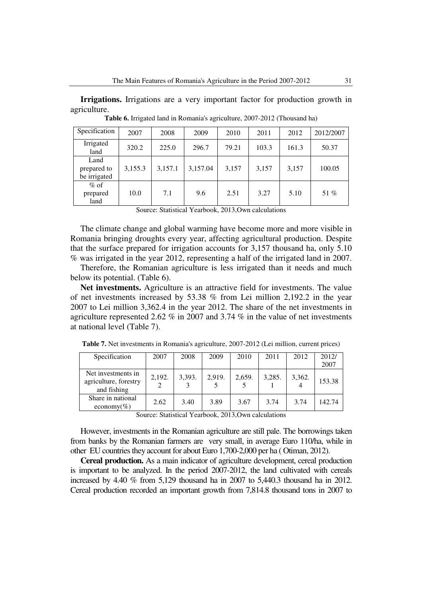**Irrigations.** Irrigations are a very important factor for production growth in agriculture.

| Specification                       | 2007    | 2008    | 2009     | 2010  | 2011  | 2012  | 2012/2007 |
|-------------------------------------|---------|---------|----------|-------|-------|-------|-----------|
| Irrigated<br>land                   | 320.2   | 225.0   | 296.7    | 79.21 | 103.3 | 161.3 | 50.37     |
| Land<br>prepared to<br>be irrigated | 3,155.3 | 3,157.1 | 3,157.04 | 3,157 | 3,157 | 3,157 | 100.05    |
| $%$ of<br>prepared<br>land          | 10.0    | 7.1     | 9.6      | 2.51  | 3.27  | 5.10  | 51 %      |

**Table 6.** Irrigated land in Romania's agriculture, 2007-2012 (Thousand ha)

Source: Statistical Yearbook, 2013,Own calculations

 The climate change and global warming have become more and more visible in Romania bringing droughts every year, affecting agricultural production. Despite that the surface prepared for irrigation accounts for 3,157 thousand ha, only 5.10 % was irrigated in the year 2012, representing a half of the irrigated land in 2007.

 Therefore, the Romanian agriculture is less irrigated than it needs and much below its potential. (Table 6).

 **Net investments.** Agriculture is an attractive field for investments. The value of net investments increased by 53.38 % from Lei million 2,192.2 in the year 2007 to Lei million 3,362.4 in the year 2012. The share of the net investments in agriculture represented 2.62 % in 2007 and 3.74 % in the value of net investments at national level (Table 7).

| Specification                                              | 2007   | 2008   | 2009   | 2010   | 2011   | 2012   | 2012/  |
|------------------------------------------------------------|--------|--------|--------|--------|--------|--------|--------|
|                                                            |        |        |        |        |        |        | 2007   |
| Net investments in<br>agriculture, forestry<br>and fishing | 2.192. | 3,393. | 2,919. | 2,659. | 3,285. | 3,362. | 153.38 |
| Share in national<br>economy(%)                            | 2.62   | 3.40   | 3.89   | 3.67   | 3.74   | 3.74   | 142.74 |

**Table 7.** Net investments in Romania's agriculture, 2007-2012 (Lei million, current prices)

Source: Statistical Yearbook, 2013,Own calculations

 However, investments in the Romanian agriculture are still pale. The borrowings taken from banks by the Romanian farmers are very small, in average Euro 110/ha, while in other EU countries they account for about Euro 1,700-2,000 per ha ( Otiman, 2012).

 **Cereal production.** As a main indicator of agriculture development, cereal production is important to be analyzed. In the period 2007-2012, the land cultivated with cereals increased by 4.40 % from 5,129 thousand ha in 2007 to 5,440.3 thousand ha in 2012. Cereal production recorded an important growth from 7,814.8 thousand tons in 2007 to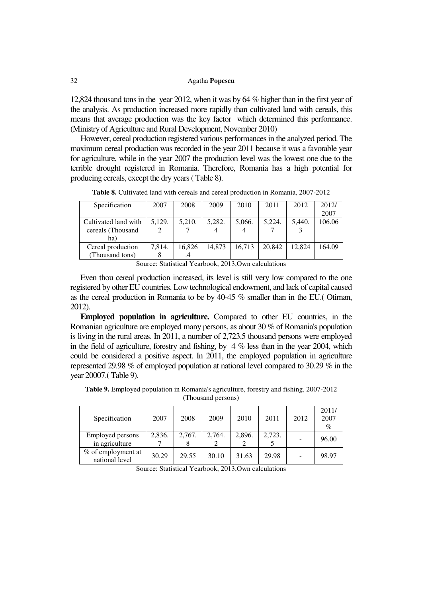| 32 | Agatha <b>Popescu</b> |
|----|-----------------------|
|----|-----------------------|

12,824 thousand tons in the year 2012, when it was by 64 % higher than in the first year of the analysis. As production increased more rapidly than cultivated land with cereals, this means that average production was the key factor which determined this performance. (Ministry of Agriculture and Rural Development, November 2010)

 However, cereal production registered various performances in the analyzed period. The maximum cereal production was recorded in the year 2011 because it was a favorable year for agriculture, while in the year 2007 the production level was the lowest one due to the terrible drought registered in Romania. Therefore, Romania has a high potential for producing cereals, except the dry years ( Table 8).

| Specification        | 2007   | 2008   | 2009   | 2010   | 2011   | 2012   | 2012/  |
|----------------------|--------|--------|--------|--------|--------|--------|--------|
|                      |        |        |        |        |        |        | 2007   |
| Cultivated land with | 5.129. | 5.210. | 5.282. | 5,066. | 5.224. | 5.440. | 106.06 |
| cereals (Thousand    |        |        |        |        |        |        |        |
| ha)                  |        |        |        |        |        |        |        |
| Cereal production    | 7,814. | 16,826 | 14.873 | 16.713 | 20,842 | 12.824 | 164.09 |
| (Thousand tons)      |        | .4     |        |        |        |        |        |

**Table 8.** Cultivated land with cereals and cereal production in Romania, 2007-2012

 Even thou cereal production increased, its level is still very low compared to the one registered by other EU countries. Low technological endowment, and lack of capital caused as the cereal production in Romania to be by 40-45 % smaller than in the EU.( Otiman, 2012).

 **Employed population in agriculture.** Compared to other EU countries, in the Romanian agriculture are employed many persons, as about 30 % of Romania's population is living in the rural areas. In 2011, a number of 2,723.5 thousand persons were employed in the field of agriculture, forestry and fishing, by  $4\%$  less than in the year 2004, which could be considered a positive aspect. In 2011, the employed population in agriculture represented 29.98 % of employed population at national level compared to 30.29 % in the year 20007.( Table 9).

| Specification                      | 2007   | 2008   | 2009   | 2010   | 2011   | 2012 | 2011/<br>2007<br>$\%$ |
|------------------------------------|--------|--------|--------|--------|--------|------|-----------------------|
| Employed persons<br>in agriculture | 2,836. | 2,767. | 2,764. | 2,896. | 2,723. |      | 96.00                 |

**Table 9.** Employed population in Romania's agriculture, forestry and fishing, 2007-2012 (Thousand persons)

Source: Statistical Yearbook, 2013,Own calculations

national level 30.29 29.55 30.10 31.63 29.98 - 98.97

% of employment at

Source: Statistical Yearbook, 2013,Own calculations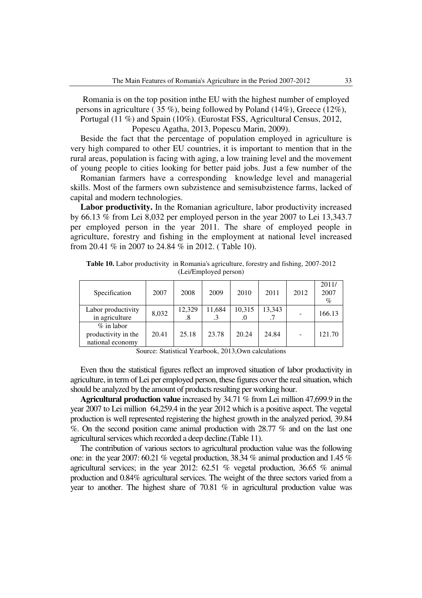Romania is on the top position inthe EU with the highest number of employed persons in agriculture ( 35 %), being followed by Poland (14%), Greece (12%),

Portugal (11 %) and Spain (10%). (Eurostat FSS, Agricultural Census, 2012,

Popescu Agatha, 2013, Popescu Marin, 2009).

 Beside the fact that the percentage of population employed in agriculture is very high compared to other EU countries, it is important to mention that in the rural areas, population is facing with aging, a low training level and the movement of young people to cities looking for better paid jobs. Just a few number of the

 Romanian farmers have a corresponding knowledge level and managerial skills. Most of the farmers own subzistence and semisubzistence farms, lacked of capital and modern technologies.

 **Labor productivity.** In the Romanian agriculture, labor productivity increased by 66.13 % from Lei 8,032 per employed person in the year 2007 to Lei 13,343.7 per employed person in the year 2011. The share of employed people in agriculture, forestry and fishing in the employment at national level increased from 20.41 % in 2007 to 24.84 % in 2012. ( Table 10).

**Table 10.** Labor productivity in Romania's agriculture, forestry and fishing, 2007-2012 (Lei/Employed person)

| Specification                                            | 2007  | 2008         | 2009   | 2010         | 2011   | 2012           | 2011/<br>2007<br>$\%$ |
|----------------------------------------------------------|-------|--------------|--------|--------------|--------|----------------|-----------------------|
| Labor productivity<br>in agriculture                     | 8,032 | 12,329<br>.8 | 11,684 | 10,315<br>.0 | 13,343 |                | 166.13                |
| $\%$ in labor<br>productivity in the<br>national economy | 20.41 | 25.18        | 23.78  | 20.24        | 24.84  | $\overline{a}$ | 121.70                |

Source: Statistical Yearbook, 2013,Own calculations

 Even thou the statistical figures reflect an improved situation of labor productivity in agriculture, in term of Lei per employed person, these figures cover the real situation, which should be analyzed by the amount of products resulting per working hour.

 **Agricultural production value** increased by 34.71 % from Lei million 47,699.9 in the year 2007 to Lei million 64,259.4 in the year 2012 which is a positive aspect. The vegetal production is well represented registering the highest growth in the analyzed period, 39.84 %. On the second position came animal production with 28.77 % and on the last one agricultural services which recorded a deep decline.(Table 11).

 The contribution of various sectors to agricultural production value was the following one: in the year 2007: 60.21 % vegetal production, 38.34 % animal production and 1.45 % agricultural services; in the year 2012: 62.51 % vegetal production, 36.65 % animal production and 0.84% agricultural services. The weight of the three sectors varied from a year to another. The highest share of 70.81 % in agricultural production value was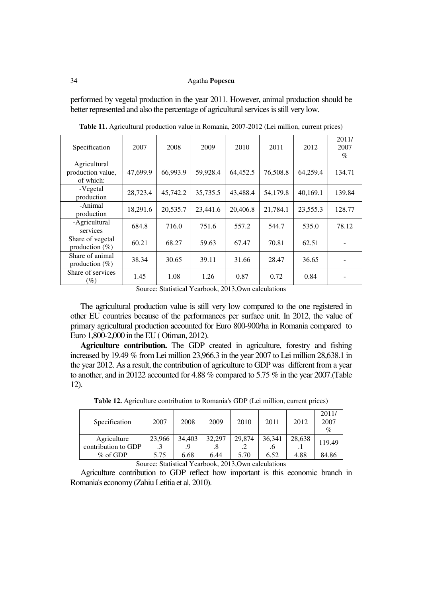performed by vegetal production in the year 2011. However, animal production should be better represented and also the percentage of agricultural services is still very low.

| Specification                                  | 2007     | 2008     | 2009     | 2010     | 2011     | 2012     | 2011/<br>2007<br>$\%$ |
|------------------------------------------------|----------|----------|----------|----------|----------|----------|-----------------------|
| Agricultural<br>production value,<br>of which: | 47,699.9 | 66,993.9 | 59,928.4 | 64,452.5 | 76,508.8 | 64,259.4 | 134.71                |
| -Vegetal<br>production                         | 28,723.4 | 45,742.2 | 35,735.5 | 43,488.4 | 54,179.8 | 40,169.1 | 139.84                |
| -Animal<br>production                          | 18,291.6 | 20,535.7 | 23,441.6 | 20,406.8 | 21,784.1 | 23,555.3 | 128.77                |
| -Agricultural<br>services                      | 684.8    | 716.0    | 751.6    | 557.2    | 544.7    | 535.0    | 78.12                 |
| Share of vegetal<br>production $(\%)$          | 60.21    | 68.27    | 59.63    | 67.47    | 70.81    | 62.51    |                       |
| Share of animal<br>production $(\%)$           | 38.34    | 30.65    | 39.11    | 31.66    | 28.47    | 36.65    |                       |
| Share of services<br>$(\%)$                    | 1.45     | 1.08     | 1.26     | 0.87     | 0.72     | 0.84     |                       |

**Table 11.** Agricultural production value in Romania, 2007-2012 (Lei million, current prices)

Source: Statistical Yearbook, 2013,Own calculations

 The agricultural production value is still very low compared to the one registered in other EU countries because of the performances per surface unit. In 2012, the value of primary agricultural production accounted for Euro 800-900/ha in Romania compared to Euro 1,800-2,000 in the EU ( Otiman, 2012).

 **Agriculture contribution.** The GDP created in agriculture, forestry and fishing increased by 19.49 % from Lei million 23,966.3 in the year 2007 to Lei million 28,638.1 in the year 2012. As a result, the contribution of agriculture to GDP was different from a year to another, and in 20122 accounted for 4.88 % compared to 5.75 % in the year 2007.(Table 12).

| Specification       | 2007   | 2008   | 2009   | 2010   | 2011   | 2012   | 2011/<br>2007<br>$\%$ |  |
|---------------------|--------|--------|--------|--------|--------|--------|-----------------------|--|
| Agriculture         | 23,966 | 34.403 | 32,297 | 29,874 | 36,341 | 28,638 |                       |  |
| contribution to GDP |        |        |        | ت      |        | . 1    | 119.49                |  |
| $\%$ of GDP         | 5.75   | 6.68   | 6.44   | 5.70   | 6.52   | 4.88   | 84.86                 |  |

**Table 12.** Agriculture contribution to Romania's GDP (Lei million, current prices)

Source: Statistical Yearbook, 2013,Own calculations

 Agriculture contribution to GDP reflect how important is this economic branch in Romania's economy (Zahiu Letitia et al, 2010).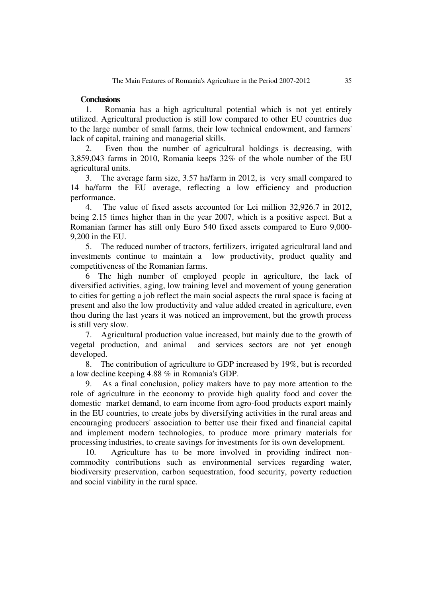#### **Conclusions**

1. Romania has a high agricultural potential which is not yet entirely utilized. Agricultural production is still low compared to other EU countries due to the large number of small farms, their low technical endowment, and farmers' lack of capital, training and managerial skills.

2. Even thou the number of agricultural holdings is decreasing, with 3,859,043 farms in 2010, Romania keeps 32% of the whole number of the EU agricultural units.

3. The average farm size, 3.57 ha/farm in 2012, is very small compared to 14 ha/farm the EU average, reflecting a low efficiency and production performance.

4. The value of fixed assets accounted for Lei million 32,926.7 in 2012, being 2.15 times higher than in the year 2007, which is a positive aspect. But a Romanian farmer has still only Euro 540 fixed assets compared to Euro 9,000- 9,200 in the EU.

5. The reduced number of tractors, fertilizers, irrigated agricultural land and investments continue to maintain a low productivity, product quality and competitiveness of the Romanian farms.

6 The high number of employed people in agriculture, the lack of diversified activities, aging, low training level and movement of young generation to cities for getting a job reflect the main social aspects the rural space is facing at present and also the low productivity and value added created in agriculture, even thou during the last years it was noticed an improvement, but the growth process is still very slow.

7. Agricultural production value increased, but mainly due to the growth of vegetal production, and animal and services sectors are not yet enough developed.

8. The contribution of agriculture to GDP increased by 19%, but is recorded a low decline keeping 4.88 % in Romania's GDP.

9. As a final conclusion, policy makers have to pay more attention to the role of agriculture in the economy to provide high quality food and cover the domestic market demand, to earn income from agro-food products export mainly in the EU countries, to create jobs by diversifying activities in the rural areas and encouraging producers' association to better use their fixed and financial capital and implement modern technologies, to produce more primary materials for processing industries, to create savings for investments for its own development.

10. Agriculture has to be more involved in providing indirect noncommodity contributions such as environmental services regarding water, biodiversity preservation, carbon sequestration, food security, poverty reduction and social viability in the rural space.